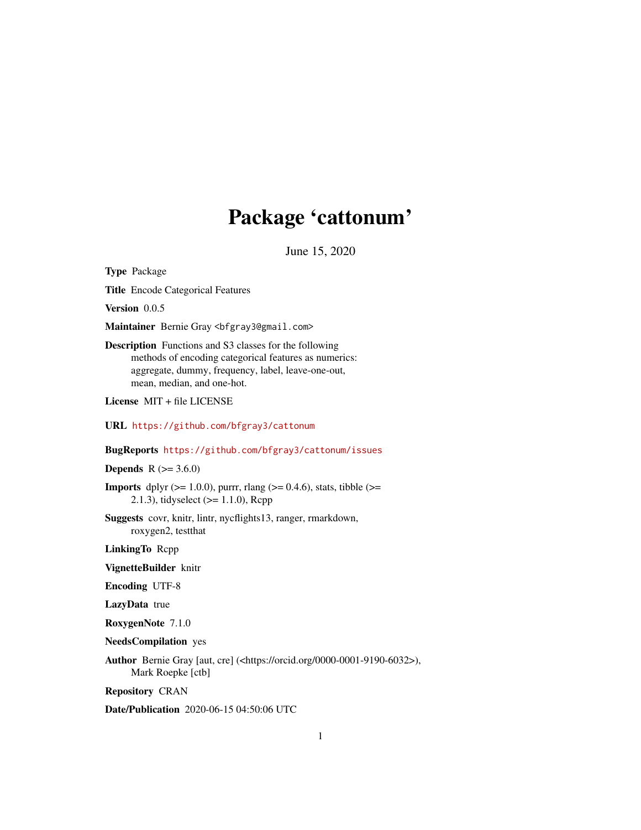## Package 'cattonum'

June 15, 2020

Type Package

Title Encode Categorical Features

Version 0.0.5

Maintainer Bernie Gray <br/>bfgray3@gmail.com>

Description Functions and S3 classes for the following methods of encoding categorical features as numerics: aggregate, dummy, frequency, label, leave-one-out, mean, median, and one-hot.

License MIT + file LICENSE

URL <https://github.com/bfgray3/cattonum>

#### BugReports <https://github.com/bfgray3/cattonum/issues>

**Depends** R  $(>= 3.6.0)$ 

**Imports** dplyr ( $>= 1.0.0$ ), purrr, rlang ( $>= 0.4.6$ ), stats, tibble ( $>=$ 2.1.3), tidyselect (>= 1.1.0), Rcpp

Suggests covr, knitr, lintr, nycflights13, ranger, rmarkdown, roxygen2, testthat

LinkingTo Rcpp

VignetteBuilder knitr

Encoding UTF-8

LazyData true

RoxygenNote 7.1.0

NeedsCompilation yes

Author Bernie Gray [aut, cre] (<https://orcid.org/0000-0001-9190-6032>), Mark Roepke [ctb]

Repository CRAN

Date/Publication 2020-06-15 04:50:06 UTC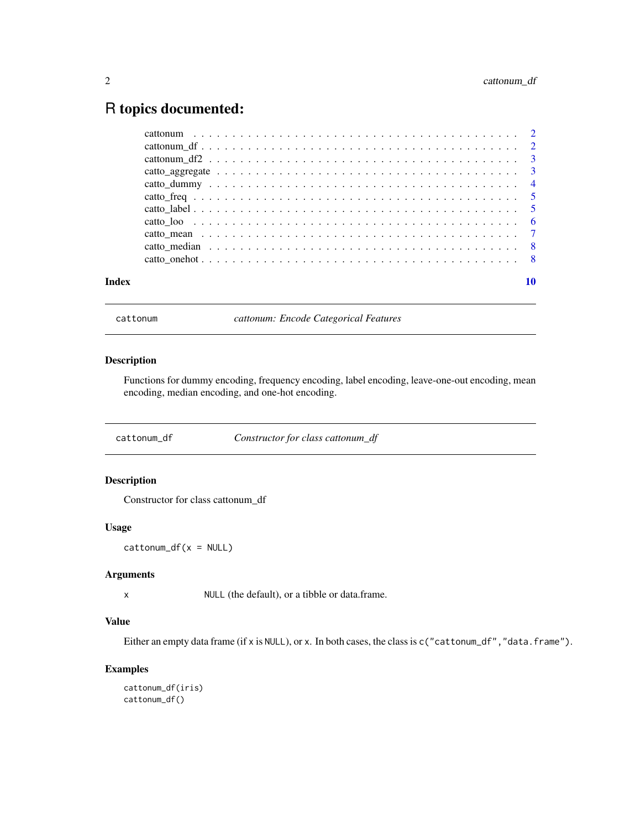### <span id="page-1-0"></span>R topics documented:

| Index |  |  |  | 10 |
|-------|--|--|--|----|

cattonum *cattonum: Encode Categorical Features*

#### Description

Functions for dummy encoding, frequency encoding, label encoding, leave-one-out encoding, mean encoding, median encoding, and one-hot encoding.

cattonum\_df *Constructor for class cattonum\_df*

#### Description

Constructor for class cattonum\_df

#### Usage

 $cattonum_df(x = NULL)$ 

#### Arguments

x NULL (the default), or a tibble or data.frame.

#### Value

Either an empty data frame (if x is NULL), or x. In both cases, the class is c("cattonum\_df", "data.frame").

#### Examples

```
cattonum_df(iris)
cattonum_df()
```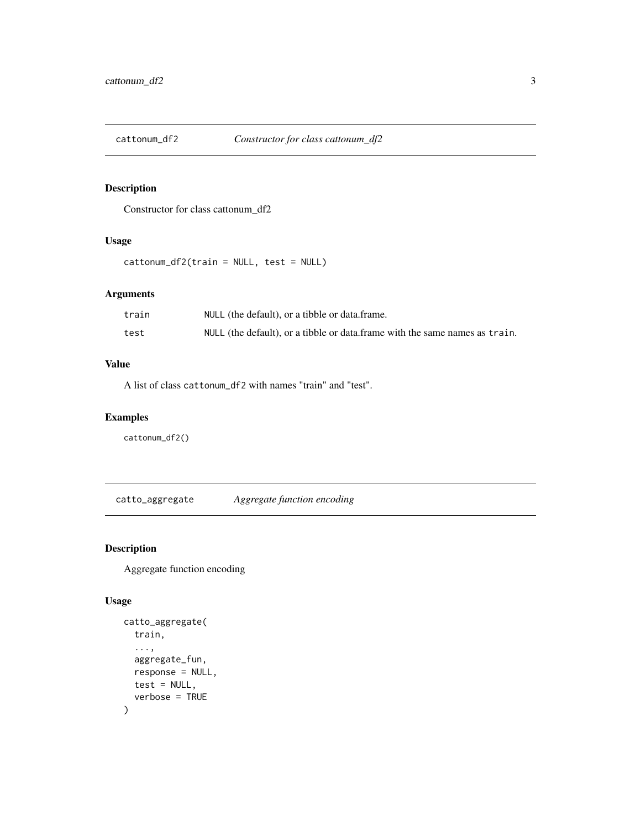<span id="page-2-0"></span>

#### Description

Constructor for class cattonum\_df2

#### Usage

cattonum\_df2(train = NULL, test = NULL)

#### Arguments

| train | NULL (the default), or a tibble or data.frame.                              |
|-------|-----------------------------------------------------------------------------|
| test  | NULL (the default), or a tibble or data frame with the same names as train. |

#### Value

A list of class cattonum\_df2 with names "train" and "test".

#### Examples

cattonum\_df2()

catto\_aggregate *Aggregate function encoding*

#### Description

Aggregate function encoding

```
catto_aggregate(
  train,
  ...,
  aggregate_fun,
  response = NULL,
  test = NULL,verbose = TRUE
\mathcal{L}
```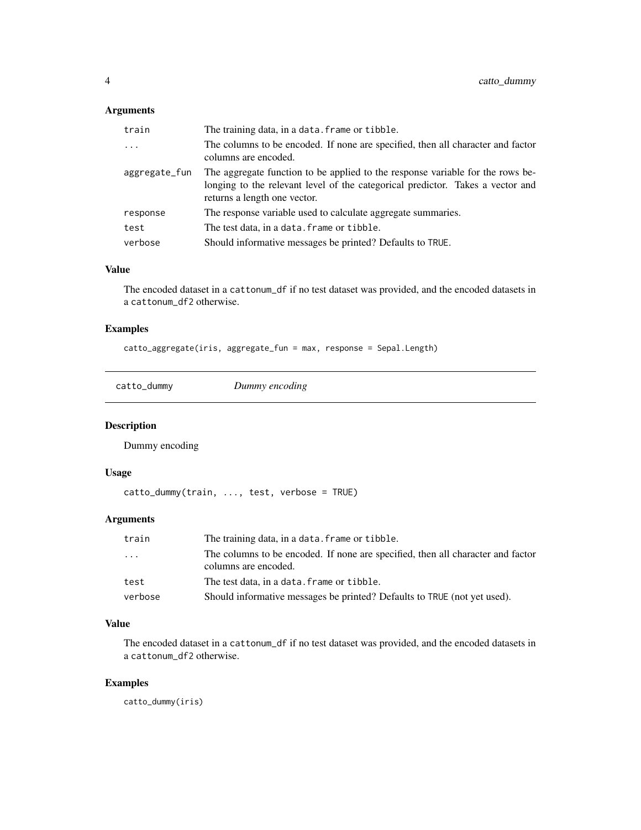#### <span id="page-3-0"></span>Arguments

| train         | The training data, in a data. frame or tibble.                                                                                                                                                   |
|---------------|--------------------------------------------------------------------------------------------------------------------------------------------------------------------------------------------------|
| .             | The columns to be encoded. If none are specified, then all character and factor<br>columns are encoded.                                                                                          |
| aggregate_fun | The aggregate function to be applied to the response variable for the rows be-<br>longing to the relevant level of the categorical predictor. Takes a vector and<br>returns a length one vector. |
| response      | The response variable used to calculate aggregate summaries.                                                                                                                                     |
| test          | The test data, in a data. frame or tibble.                                                                                                                                                       |
| verbose       | Should informative messages be printed? Defaults to TRUE.                                                                                                                                        |

#### Value

The encoded dataset in a cattonum\_df if no test dataset was provided, and the encoded datasets in a cattonum\_df2 otherwise.

#### Examples

catto\_aggregate(iris, aggregate\_fun = max, response = Sepal.Length)

catto\_dummy *Dummy encoding*

#### Description

Dummy encoding

#### Usage

catto\_dummy(train, ..., test, verbose = TRUE)

#### Arguments

| train   | The training data, in a data. frame or tibble.                                                          |
|---------|---------------------------------------------------------------------------------------------------------|
| .       | The columns to be encoded. If none are specified, then all character and factor<br>columns are encoded. |
| test    | The test data, in a data, frame or tibble.                                                              |
| verbose | Should informative messages be printed? Defaults to TRUE (not yet used).                                |

#### Value

The encoded dataset in a cattonum\_df if no test dataset was provided, and the encoded datasets in a cattonum\_df2 otherwise.

#### Examples

catto\_dummy(iris)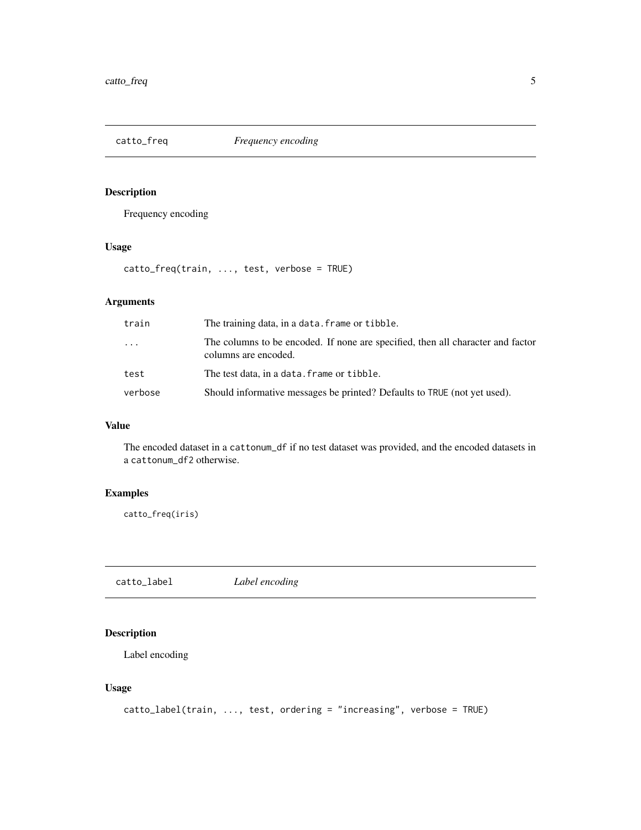<span id="page-4-0"></span>

#### Description

Frequency encoding

#### Usage

catto\_freq(train, ..., test, verbose = TRUE)

#### Arguments

| train    | The training data, in a data. frame or tibble.                                                          |
|----------|---------------------------------------------------------------------------------------------------------|
| $\ddots$ | The columns to be encoded. If none are specified, then all character and factor<br>columns are encoded. |
| test     | The test data, in a data, frame or tibble.                                                              |
| verbose  | Should informative messages be printed? Defaults to TRUE (not yet used).                                |

#### Value

The encoded dataset in a cattonum\_df if no test dataset was provided, and the encoded datasets in a cattonum\_df2 otherwise.

#### Examples

catto\_freq(iris)

catto\_label *Label encoding*

#### Description

Label encoding

```
catto_label(train, ..., test, ordering = "increasing", verbose = TRUE)
```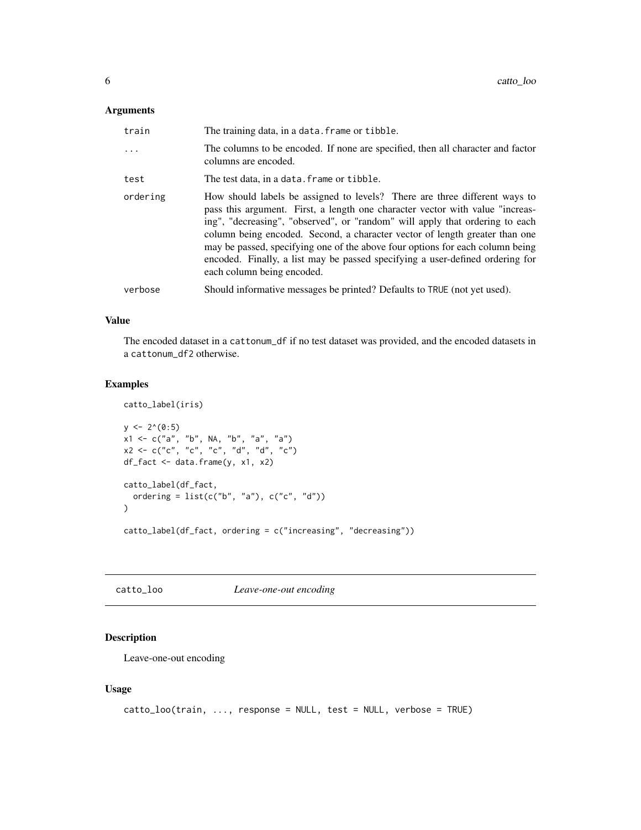#### <span id="page-5-0"></span>Arguments

| train    | The training data, in a data. frame or tibble.                                                                                                                                                                                                                                                                                                                                                                                                                                                                             |
|----------|----------------------------------------------------------------------------------------------------------------------------------------------------------------------------------------------------------------------------------------------------------------------------------------------------------------------------------------------------------------------------------------------------------------------------------------------------------------------------------------------------------------------------|
| $\ddots$ | The columns to be encoded. If none are specified, then all character and factor<br>columns are encoded.                                                                                                                                                                                                                                                                                                                                                                                                                    |
| test     | The test data, in a data. frame or tibble.                                                                                                                                                                                                                                                                                                                                                                                                                                                                                 |
| ordering | How should labels be assigned to levels? There are three different ways to<br>pass this argument. First, a length one character vector with value "increas-<br>ing", "decreasing", "observed", or "random" will apply that ordering to each<br>column being encoded. Second, a character vector of length greater than one<br>may be passed, specifying one of the above four options for each column being<br>encoded. Finally, a list may be passed specifying a user-defined ordering for<br>each column being encoded. |
| verbose  | Should informative messages be printed? Defaults to TRUE (not yet used).                                                                                                                                                                                                                                                                                                                                                                                                                                                   |

#### Value

The encoded dataset in a cattonum\_df if no test dataset was provided, and the encoded datasets in a cattonum\_df2 otherwise.

#### Examples

catto\_label(iris)

```
y \le -2^(0:5)
x1 <- c("a", "b", NA, "b", "a", "a")
x2 \leq -c("c", "c", "c", "d", "d", "c")df_fact <- data.frame(y, x1, x2)
catto_label(df_fact,
  ordering = list(c("b", "a"), c("c", "d"))\mathcal{L}catto_label(df_fact, ordering = c("increasing", "decreasing"))
```
catto\_loo *Leave-one-out encoding*

#### Description

Leave-one-out encoding

```
catto_loo(train, ..., response = NULL, test = NULL, verbose = TRUE)
```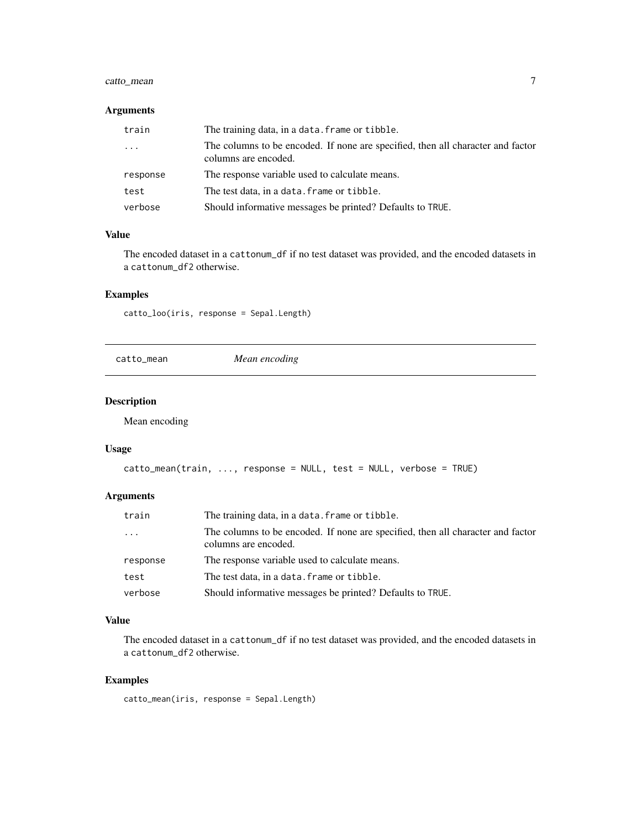#### <span id="page-6-0"></span>catto\_mean 7

#### Arguments

| train    | The training data, in a data. frame or tibble.                                                          |
|----------|---------------------------------------------------------------------------------------------------------|
| $\cdots$ | The columns to be encoded. If none are specified, then all character and factor<br>columns are encoded. |
| response | The response variable used to calculate means.                                                          |
| test     | The test data, in a data, frame or tibble.                                                              |
| verbose  | Should informative messages be printed? Defaults to TRUE.                                               |

#### Value

The encoded dataset in a cattonum\_df if no test dataset was provided, and the encoded datasets in a cattonum\_df2 otherwise.

#### Examples

catto\_loo(iris, response = Sepal.Length)

```
catto_mean Mean encoding
```
#### Description

Mean encoding

#### Usage

```
catto_mean(train, ..., response = NULL, test = NULL, verbose = TRUE)
```
#### Arguments

| train    | The training data, in a data, frame or tibble.                                                          |
|----------|---------------------------------------------------------------------------------------------------------|
| $\cdots$ | The columns to be encoded. If none are specified, then all character and factor<br>columns are encoded. |
| response | The response variable used to calculate means.                                                          |
| test     | The test data, in a data, frame or tibble.                                                              |
| verbose  | Should informative messages be printed? Defaults to TRUE.                                               |

#### Value

The encoded dataset in a cattonum\_df if no test dataset was provided, and the encoded datasets in a cattonum\_df2 otherwise.

#### Examples

catto\_mean(iris, response = Sepal.Length)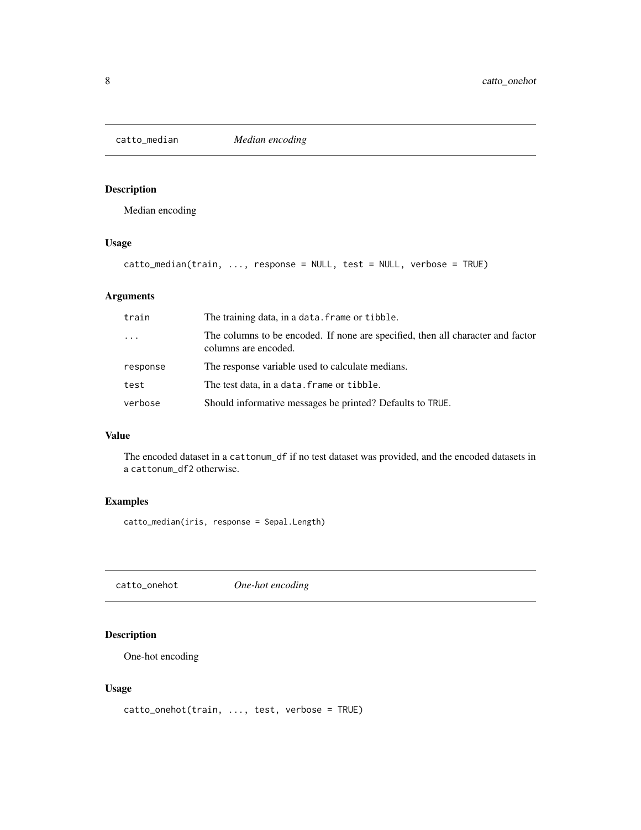<span id="page-7-0"></span>

#### Description

Median encoding

#### Usage

catto\_median(train, ..., response = NULL, test = NULL, verbose = TRUE)

#### Arguments

| train    | The training data, in a data. frame or tibble.                                                          |
|----------|---------------------------------------------------------------------------------------------------------|
| $\ddots$ | The columns to be encoded. If none are specified, then all character and factor<br>columns are encoded. |
| response | The response variable used to calculate medians.                                                        |
| test     | The test data, in a data. frame or tibble.                                                              |
| verbose  | Should informative messages be printed? Defaults to TRUE.                                               |

#### Value

The encoded dataset in a cattonum\_df if no test dataset was provided, and the encoded datasets in a cattonum\_df2 otherwise.

#### Examples

catto\_median(iris, response = Sepal.Length)

catto\_onehot *One-hot encoding*

#### Description

One-hot encoding

```
catto_onehot(train, ..., test, verbose = TRUE)
```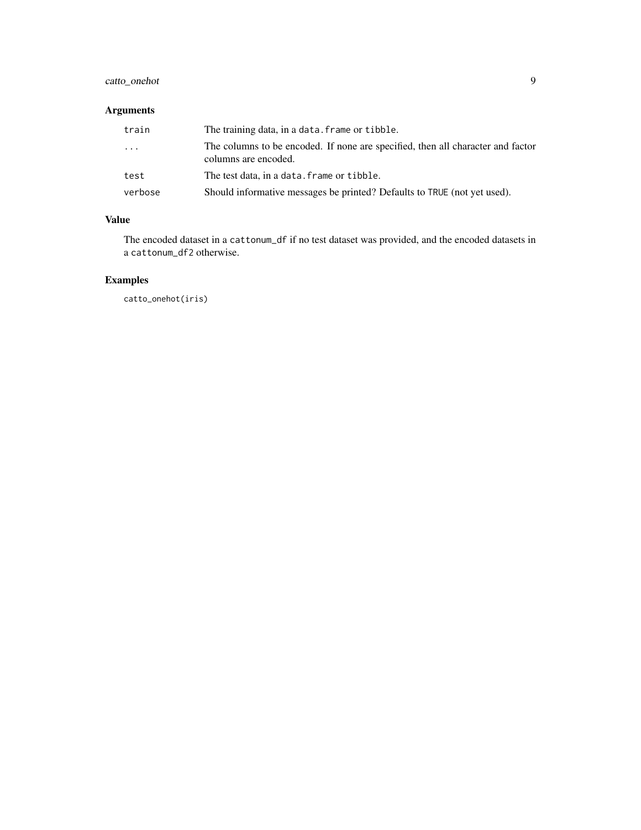#### catto\_onehot 9

#### Arguments

| train    | The training data, in a data. frame or tibble.                                                          |
|----------|---------------------------------------------------------------------------------------------------------|
| $\ddots$ | The columns to be encoded. If none are specified, then all character and factor<br>columns are encoded. |
| test     | The test data, in a data. frame or tibble.                                                              |
| verbose  | Should informative messages be printed? Defaults to TRUE (not yet used).                                |

#### Value

The encoded dataset in a cattonum\_df if no test dataset was provided, and the encoded datasets in a cattonum\_df2 otherwise.

#### Examples

catto\_onehot(iris)